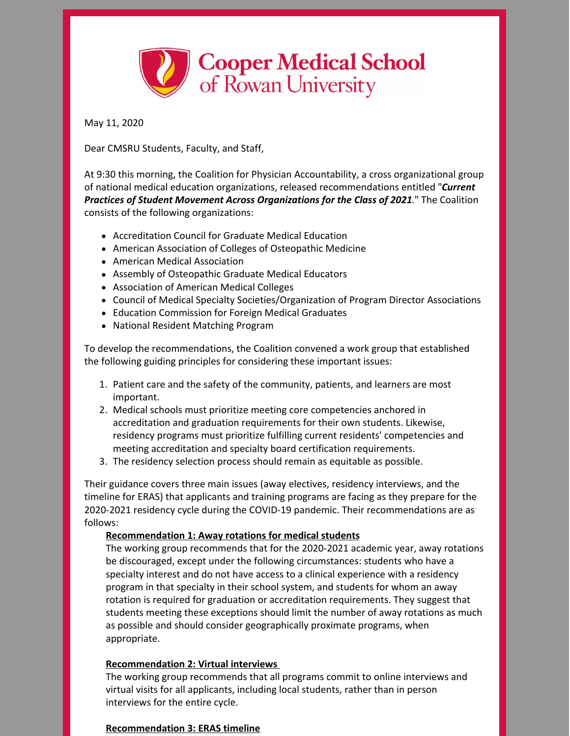

May 11, 2020

Dear CMSRU Students, Faculty, and Staff,

At 9:30 this morning, the Coalition for Physician Accountability, a cross organizational group of national medical education organizations, released recommendations entitled "*Current Practices of Student Movement Across Organizations for the Class of 2021*." The Coalition consists of the following organizations:

- Accreditation Council for Graduate Medical Education
- American Association of Colleges of Osteopathic Medicine
- American Medical Association
- Assembly of Osteopathic Graduate Medical Educators
- Association of American Medical Colleges
- Council of Medical Specialty Societies/Organization of Program Director Associations
- Education Commission for Foreign Medical Graduates
- National Resident Matching Program

To develop the recommendations, the Coalition convened a work group that established the following guiding principles for considering these important issues:

- 1. Patient care and the safety of the community, patients, and learners are most important.
- 2. Medical schools must prioritize meeting core competencies anchored in accreditation and graduation requirements for their own students. Likewise, residency programs must prioritize fulfilling current residents' competencies and meeting accreditation and specialty board certification requirements.
- 3. The residency selection process should remain as equitable as possible.

Their guidance covers three main issues (away electives, residency interviews, and the timeline for ERAS) that applicants and training programs are facing as they prepare for the 2020-2021 residency cycle during the COVID-19 pandemic. Their recommendations are as follows:

## **Recommendation 1: Away rotations for medical students**

The working group recommends that for the 2020-2021 academic year, away rotations be discouraged, except under the following circumstances: students who have a specialty interest and do not have access to a clinical experience with a residency program in that specialty in their school system, and students for whom an away rotation is required for graduation or accreditation requirements. They suggest that students meeting these exceptions should limit the number of away rotations as much as possible and should consider geographically proximate programs, when appropriate.

## **Recommendation 2: Virtual interviews**

The working group recommends that all programs commit to online interviews and virtual visits for all applicants, including local students, rather than in person interviews for the entire cycle.

## **Recommendation 3: ERAS timeline**